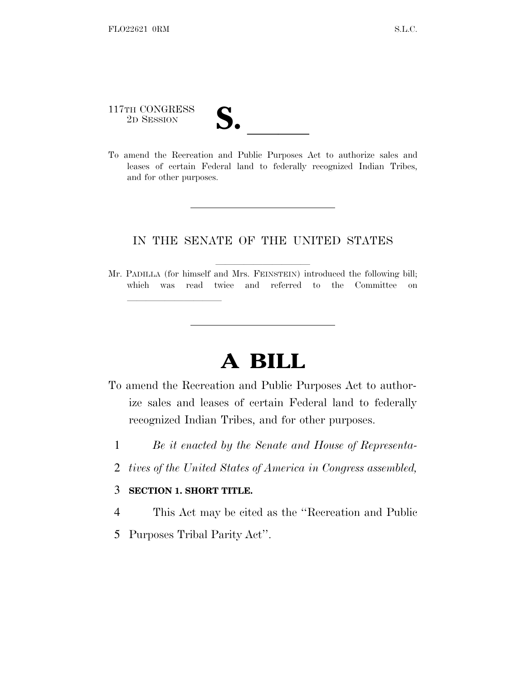## 117TH CONGRESS 117TH CONGRESS<br>
2D SESSION<br>
To amend the Recreation and Public Purposes Act to authorize sales and

leases of certain Federal land to federally recognized Indian Tribes, and for other purposes.

## IN THE SENATE OF THE UNITED STATES

Mr. PADILLA (for himself and Mrs. FEINSTEIN) introduced the following bill; which was read twice and referred to the Committee on

## **A BILL**

- To amend the Recreation and Public Purposes Act to authorize sales and leases of certain Federal land to federally recognized Indian Tribes, and for other purposes.
	- 1 *Be it enacted by the Senate and House of Representa-*
	- 2 *tives of the United States of America in Congress assembled,*

## 3 **SECTION 1. SHORT TITLE.**

lland and a state of the state of the state of the state of the state of the state of the state of the state o

- 4 This Act may be cited as the ''Recreation and Public
- 5 Purposes Tribal Parity Act''.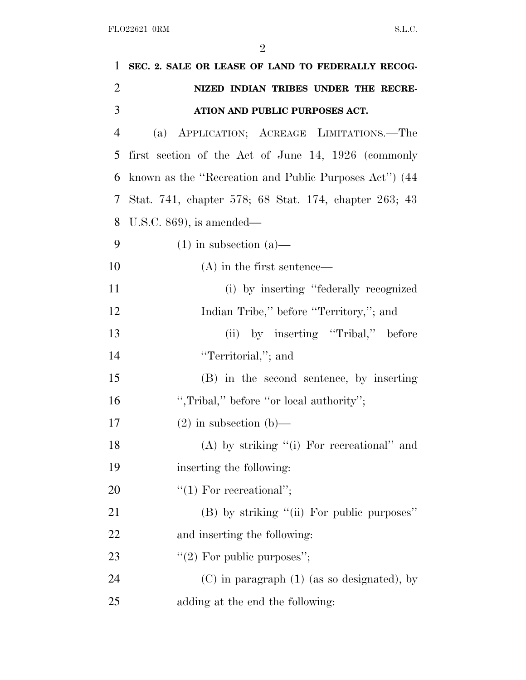| $\mathbf{1}$   | SEC. 2. SALE OR LEASE OF LAND TO FEDERALLY RECOG-     |
|----------------|-------------------------------------------------------|
| $\overline{2}$ | NIZED INDIAN TRIBES UNDER THE RECRE-                  |
| 3              | ATION AND PUBLIC PURPOSES ACT.                        |
| $\overline{4}$ | (a) APPLICATION; ACREAGE LIMITATIONS.—The             |
| 5              | first section of the Act of June 14, 1926 (commonly   |
| 6              | known as the "Recreation and Public Purposes Act" (44 |
| 7              | Stat. 741, chapter 578; 68 Stat. 174, chapter 263; 43 |
| 8              | U.S.C. $869$ ), is amended—                           |
| 9              | $(1)$ in subsection $(a)$ —                           |
| 10             | $(A)$ in the first sentence—                          |
| 11             | (i) by inserting "federally recognized                |
| 12             | Indian Tribe," before "Territory,"; and               |
| 13             | (ii) by inserting "Tribal," before                    |
| 14             | "Territorial,"; and                                   |
| 15             | (B) in the second sentence, by inserting              |
| 16             | ", Tribal," before "or local authority";              |
| 17             | $(2)$ in subsection $(b)$ —                           |
| 18             | $(A)$ by striking "(i) For recreational" and          |
| 19             | inserting the following:                              |
| <b>20</b>      | $"(1)$ For recreational";                             |
| 21             | (B) by striking "(ii) For public purposes"            |
| 22             | and inserting the following:                          |
| 23             | "(2) For public purposes";                            |
| 24             | $(C)$ in paragraph $(1)$ (as so designated), by       |
| 25             | adding at the end the following:                      |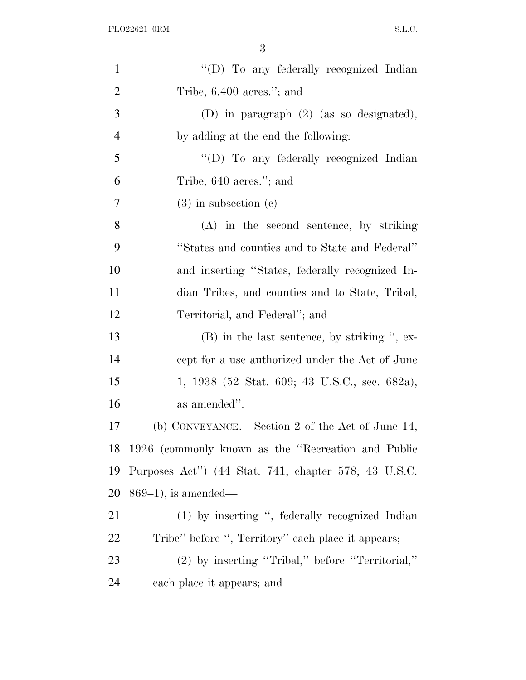| "(D) To any federally recognized Indian              |
|------------------------------------------------------|
| Tribe, $6,400$ acres."; and                          |
| (D) in paragraph $(2)$ (as so designated),           |
| by adding at the end the following:                  |
| "(D) To any federally recognized Indian              |
| Tribe, 640 acres."; and                              |
| $(3)$ in subsection $(e)$ —                          |
| (A) in the second sentence, by striking              |
| "States and counties and to State and Federal"       |
| and inserting "States, federally recognized In-      |
| dian Tribes, and counties and to State, Tribal,      |
| Territorial, and Federal"; and                       |
| $(B)$ in the last sentence, by striking ", ex-       |
| cept for a use authorized under the Act of June      |
| 1, 1938 (52 Stat. 609; 43 U.S.C., sec. 682a),        |
| as amended".                                         |
| (b) CONVEYANCE.—Section 2 of the Act of June 14,     |
| 1926 (commonly known as the "Recreation and Public   |
| Purposes Act") (44 Stat. 741, chapter 578; 43 U.S.C. |
| $869-1$ , is amended—                                |
| $(1)$ by inserting ", federally recognized Indian    |
| Tribe" before ", Territory" each place it appears;   |
| (2) by inserting "Tribal," before "Territorial,"     |
| each place it appears; and                           |
|                                                      |